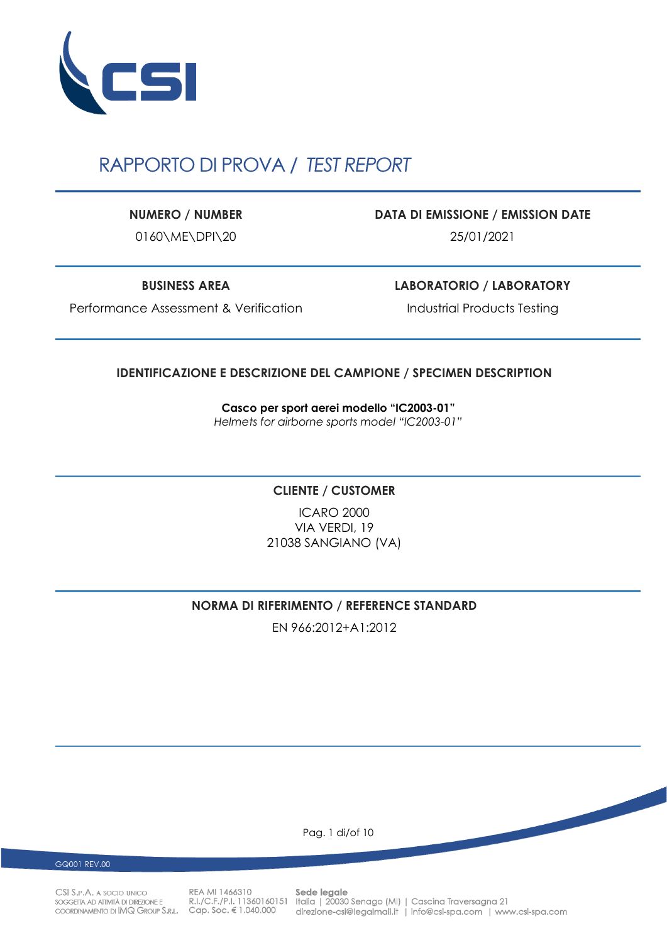

# RAPPORTO DI PROVA / TEST REPORT

0160\ME\DPI\20 25/01/2021

**NUMERO / NUMBER DATA DI EMISSIONE / EMISSION DATE**

**BUSINESS AREA LABORATORIO / LABORATORY**

Performance Assessment & Verification Industrial Products Testing

### **IDENTIFICAZIONE E DESCRIZIONE DEL CAMPIONE / SPECIMEN DESCRIPTION**

**Casco per sport aerei modello "IC2003-01"**  *Helmets for airborne sports model "IC2003-01"*

### **CLIENTE / CUSTOMER**

ICARO 2000 VIA VERDI, 19 21038 SANGIANO (VA)

### **NORMA DI RIFERIMENTO / REFERENCE STANDARD**

EN 966:2012+A1:2012

Pag. 1 di/of 10

GQ001 REV.00

CSI S.P.A. A SOCIO UNICO SOGGETTA AD ATTIVITÀ DI DIREZIONE E COORDINAMENTO DI IMQ GROUP S.R.L. Cap. Soc. € 1.040.000

REA MI 1466310

Sede legale R.I./C.F./P.I. 11360160151 Italia | 20030 Senago (MI) | Cascina Traversagna 21 direzione-csi@legalmail.it | info@csi-spa.com | www.csi-spa.com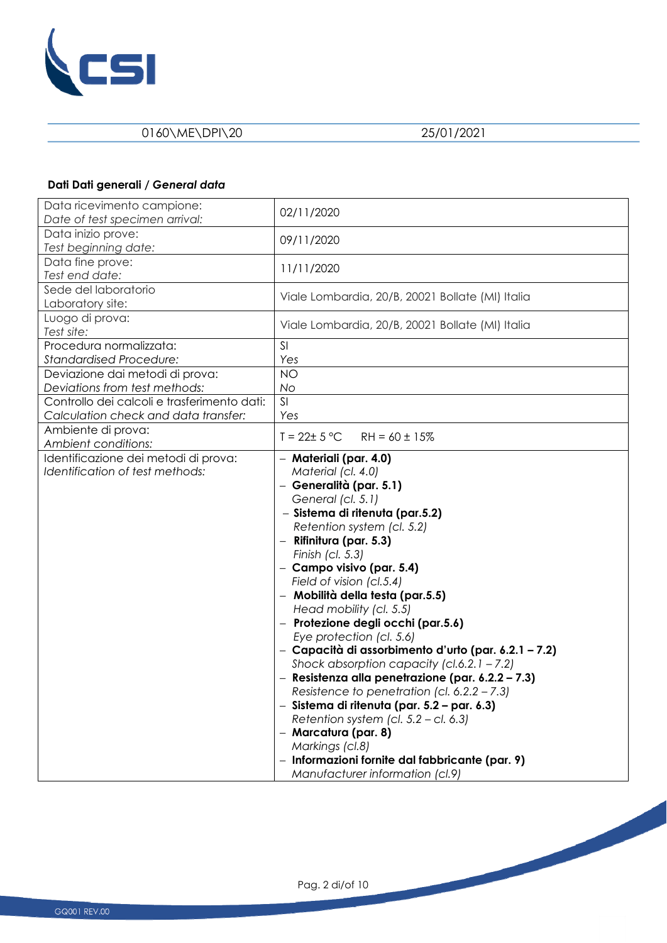

# **Dati Dati generali /** *General data*

| Data ricevimento campione:<br>Date of test specimen arrival:                        | 02/11/2020                                                                                                                                                                                                                                                                                                                                                                                                                                                                                                                                                                                                                                                                                                                                                                                                                                     |
|-------------------------------------------------------------------------------------|------------------------------------------------------------------------------------------------------------------------------------------------------------------------------------------------------------------------------------------------------------------------------------------------------------------------------------------------------------------------------------------------------------------------------------------------------------------------------------------------------------------------------------------------------------------------------------------------------------------------------------------------------------------------------------------------------------------------------------------------------------------------------------------------------------------------------------------------|
| Data inizio prove:<br>Test beginning date:                                          | 09/11/2020                                                                                                                                                                                                                                                                                                                                                                                                                                                                                                                                                                                                                                                                                                                                                                                                                                     |
| Data fine prove:<br>Test end date:                                                  | 11/11/2020                                                                                                                                                                                                                                                                                                                                                                                                                                                                                                                                                                                                                                                                                                                                                                                                                                     |
| Sede del laboratorio<br>Laboratory site:                                            | Viale Lombardia, 20/B, 20021 Bollate (MI) Italia                                                                                                                                                                                                                                                                                                                                                                                                                                                                                                                                                                                                                                                                                                                                                                                               |
| Luogo di prova:<br>Test site:                                                       | Viale Lombardia, 20/B, 20021 Bollate (MI) Italia                                                                                                                                                                                                                                                                                                                                                                                                                                                                                                                                                                                                                                                                                                                                                                                               |
| Procedura normalizzata:<br><b>Standardised Procedure:</b>                           | SI<br>Yes                                                                                                                                                                                                                                                                                                                                                                                                                                                                                                                                                                                                                                                                                                                                                                                                                                      |
| Deviazione dai metodi di prova:<br>Deviations from test methods:                    | <b>NO</b><br>No                                                                                                                                                                                                                                                                                                                                                                                                                                                                                                                                                                                                                                                                                                                                                                                                                                |
| Controllo dei calcoli e trasferimento dati:<br>Calculation check and data transfer: | SI<br>Yes                                                                                                                                                                                                                                                                                                                                                                                                                                                                                                                                                                                                                                                                                                                                                                                                                                      |
| Ambiente di prova:<br>Ambient conditions:                                           | $T = 22 \pm 5 °C$<br>$RH = 60 \pm 15\%$                                                                                                                                                                                                                                                                                                                                                                                                                                                                                                                                                                                                                                                                                                                                                                                                        |
| Identificazione dei metodi di prova:<br>Identification of test methods:             | - Materiali (par. 4.0)<br>Material (cl. 4.0)<br>- Generalità (par. 5.1)<br>General (cl. 5.1)<br>- Sistema di ritenuta (par.5.2)<br>Retention system (cl. 5.2)<br>- Rifinitura (par. 5.3)<br>Finish (cl. 5.3)<br>- Campo visivo (par. 5.4)<br>Field of vision (cl.5.4)<br>- Mobilità della testa (par.5.5)<br>Head mobility (cl. 5.5)<br>- Protezione degli occhi (par.5.6)<br>Eye protection (cl. 5.6)<br>- Capacità di assorbimento d'urto (par. 6.2.1 - 7.2)<br>Shock absorption capacity (cl.6.2.1 - 7.2)<br>- Resistenza alla penetrazione (par. 6.2.2 - 7.3)<br>Resistence to penetration (cl. $6.2.2 - 7.3$ )<br>- Sistema di ritenuta (par. 5.2 – par. 6.3)<br>Retention system (cl. $5.2 - c$ l. 6.3)<br>- Marcatura (par. 8)<br>Markings (cl.8)<br>- Informazioni fornite dal fabbricante (par. 9)<br>Manufacturer information (cl.9) |

Pag. 2 di/of 10

**Contract Contract Contract Contract Contract Contract Contract Contract Contract Contract Contract Contract Contract Contract Contract Contract Contract Contract Contract Contract Contract Contract Contract Contract Contr** 

a.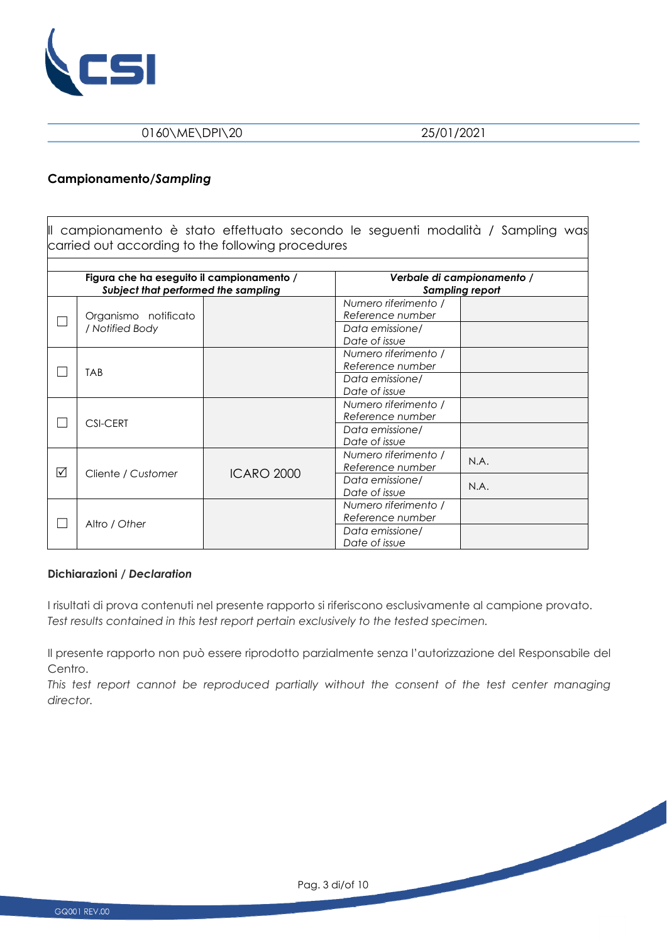

#### **Campionamento/***Sampling*

Il campionamento è stato effettuato secondo le seguenti modalità / Sampling was carried out according to the following procedures

|   | Figura che ha eseguito il campionamento /<br>Subject that performed the sampling |                   |                                                                              | Verbale di campionamento /<br><b>Sampling report</b> |
|---|----------------------------------------------------------------------------------|-------------------|------------------------------------------------------------------------------|------------------------------------------------------|
|   | Organismo notificato<br>/ Notified Body                                          |                   | Numero riferimento /<br>Reference number<br>Data emissione/<br>Date of issue |                                                      |
|   | <b>TAB</b>                                                                       |                   | Numero riferimento /<br>Reference number<br>Data emissione/<br>Date of issue |                                                      |
|   | <b>CSI-CERT</b>                                                                  |                   | Numero riferimento /<br>Reference number<br>Data emissione/<br>Date of issue |                                                      |
| ☑ | Cliente / Customer                                                               | <b>ICARO 2000</b> | Numero riferimento /<br>Reference number<br>Data emissione/<br>Date of issue | N.A.<br>N.A.                                         |
|   | Altro / Other                                                                    |                   | Numero riferimento /<br>Reference number<br>Data emissione/<br>Date of issue |                                                      |

#### **Dichiarazioni /** *Declaration*

I risultati di prova contenuti nel presente rapporto si riferiscono esclusivamente al campione provato. *Test results contained in this test report pertain exclusively to the tested specimen.* 

Il presente rapporto non può essere riprodotto parzialmente senza l'autorizzazione del Responsabile del Centro.

This test report cannot be reproduced partially without the consent of the test center managing *director.*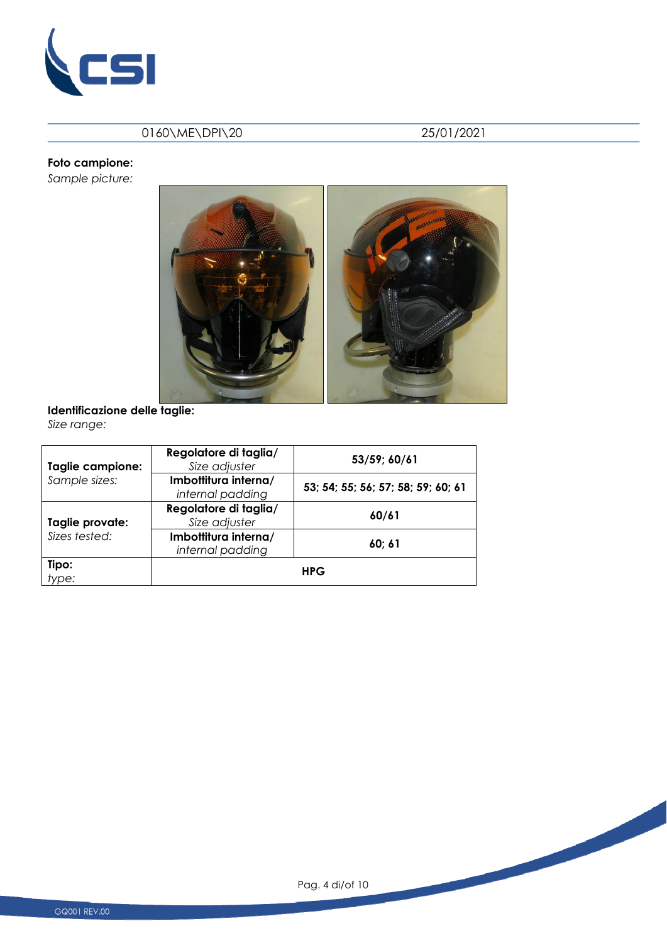

# **Foto campione:**

*Sample picture:* 



#### **Identificazione delle taglie:**  *Size range:*

| Taglie campione: | Regolatore di taglia/<br>Size adjuster   | 53/59; 60/61                       |
|------------------|------------------------------------------|------------------------------------|
| Sample sizes:    | Imbottitura interna/<br>internal padding | 53; 54; 55; 56; 57; 58; 59; 60; 61 |
| Taglie provate:  | Regolatore di taglia/<br>Size adjuster   | 60/61                              |
| Sizes tested:    | Imbottitura interna/<br>internal padding | 60; 61                             |
| Tipo:<br>type:   |                                          | <b>HPG</b>                         |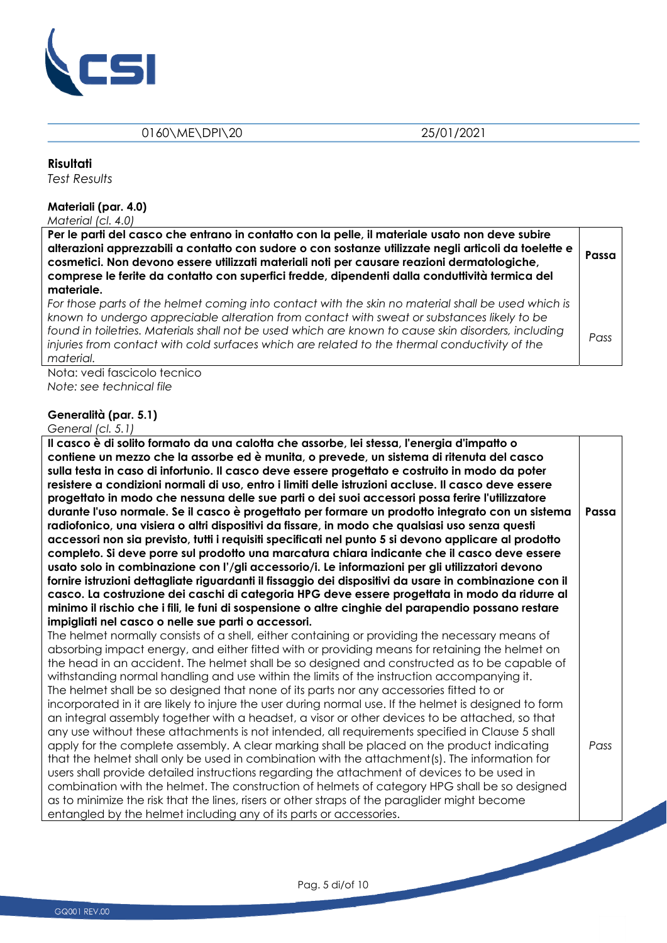

#### **Risultati**

*Test Results* 

#### **Materiali (par. 4.0)**

*Material (cl. 4.0)* 

| Per le parti del casco che entrano in contatto con la pelle, il materiale usato non deve subire<br>alterazioni apprezzabili a contatto con sudore o con sostanze utilizzate negli articoli da toelette e<br>cosmetici. Non devono essere utilizzati materiali noti per causare reazioni dermatologiche,<br>comprese le ferite da contatto con superfici fredde, dipendenti dalla conduttività termica del<br>materiale. | Passa |
|-------------------------------------------------------------------------------------------------------------------------------------------------------------------------------------------------------------------------------------------------------------------------------------------------------------------------------------------------------------------------------------------------------------------------|-------|
| For those parts of the helmet coming into contact with the skin no material shall be used which is<br>known to undergo appreciable alteration from contact with sweat or substances likely to be<br>found in toiletries. Materials shall not be used which are known to cause skin disorders, including                                                                                                                 | Pass  |
| injuries from contact with cold surfaces which are related to the thermal conductivity of the<br>material.                                                                                                                                                                                                                                                                                                              |       |

Nota: vedi fascicolo tecnico *Note: see technical file* 

#### **Generalità (par. 5.1)**

#### *General (cl. 5.1)*

**Il casco è di solito formato da una calotta che assorbe, lei stessa, l'energia d'impatto o contiene un mezzo che la assorbe ed è munita, o prevede, un sistema di ritenuta del casco sulla testa in caso di infortunio. Il casco deve essere progettato e costruito in modo da poter resistere a condizioni normali di uso, entro i limiti delle istruzioni accluse. Il casco deve essere progettato in modo che nessuna delle sue parti o dei suoi accessori possa ferire l'utilizzatore durante l'uso normale. Se il casco è progettato per formare un prodotto integrato con un sistema radiofonico, una visiera o altri dispositivi da fissare, in modo che qualsiasi uso senza questi accessori non sia previsto, tutti i requisiti specificati nel punto 5 si devono applicare al prodotto completo. Si deve porre sul prodotto una marcatura chiara indicante che il casco deve essere usato solo in combinazione con l'/gli accessorio/i. Le informazioni per gli utilizzatori devono fornire istruzioni dettagliate riguardanti il fissaggio dei dispositivi da usare in combinazione con il casco. La costruzione dei caschi di categoria HPG deve essere progettata in modo da ridurre al minimo il rischio che i fili, le funi di sospensione o altre cinghie del parapendio possano restare impigliati nel casco o nelle sue parti o accessori.**  The helmet normally consists of a shell, either containing or providing the necessary means of absorbing impact energy, and either fitted with or providing means for retaining the helmet on the head in an accident. The helmet shall be so designed and constructed as to be capable of withstanding normal handling and use within the limits of the instruction accompanying it. **Passa**

The helmet shall be so designed that none of its parts nor any accessories fitted to or incorporated in it are likely to injure the user during normal use. If the helmet is designed to form an integral assembly together with a headset, a visor or other devices to be attached, so that any use without these attachments is not intended, all requirements specified in Clause 5 shall apply for the complete assembly. A clear marking shall be placed on the product indicating that the helmet shall only be used in combination with the attachment(s). The information for users shall provide detailed instructions regarding the attachment of devices to be used in combination with the helmet. The construction of helmets of category HPG shall be so designed as to minimize the risk that the lines, risers or other straps of the paraglider might become entangled by the helmet including any of its parts or accessories. *Pass* 

Pag. 5 di/of 10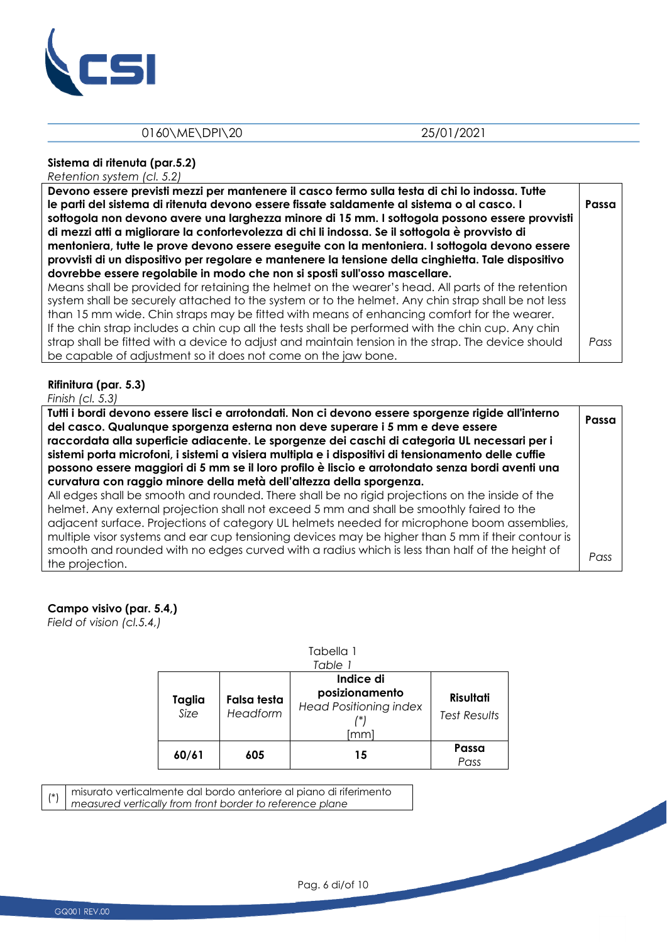

# **Sistema di ritenuta (par.5.2)**

*Retention system (cl. 5.2)*

| Devono essere previsti mezzi per mantenere il casco fermo sulla testa di chi lo indossa. Tutte<br>le parti del sistema di ritenuta devono essere fissate saldamente al sistema o al casco. I<br>sottogola non devono avere una larghezza minore di 15 mm. I sottogola possono essere provvisti<br>di mezzi atti a migliorare la confortevolezza di chi li indossa. Se il sottogola è provvisto di<br>mentoniera, tutte le prove devono essere eseguite con la mentoniera. I sottogola devono essere<br>provvisti di un dispositivo per regolare e mantenere la tensione della cinghietta. Tale dispositivo<br>dovrebbe essere regolabile in modo che non si sposti sull'osso mascellare. | Passa |
|------------------------------------------------------------------------------------------------------------------------------------------------------------------------------------------------------------------------------------------------------------------------------------------------------------------------------------------------------------------------------------------------------------------------------------------------------------------------------------------------------------------------------------------------------------------------------------------------------------------------------------------------------------------------------------------|-------|
| Means shall be provided for retaining the helmet on the wearer's head. All parts of the retention<br>system shall be securely attached to the system or to the helmet. Any chin strap shall be not less<br>than 15 mm wide. Chin straps may be fitted with means of enhancing comfort for the wearer.<br>If the chin strap includes a chin cup all the tests shall be performed with the chin cup. Any chin<br>strap shall be fitted with a device to adjust and maintain tension in the strap. The device should<br>be capable of adjustment so it does not come on the jaw bone.                                                                                                       | Pass  |

#### **Rifinitura (par. 5.3)**

*Finish (cl. 5.3)* 

| Tutti i bordi devono essere lisci e arrotondati. Non ci devono essere sporgenze rigide all'interno<br>del casco. Qualunque sporgenza esterna non deve superare i 5 mm e deve essere<br>raccordata alla superficie adiacente. Le sporgenze dei caschi di categoria UL necessari per i<br>sistemi porta microfoni, i sistemi a visiera multipla e i dispositivi di tensionamento delle cuffie<br>possono essere maggiori di 5 mm se il loro profilo è liscio e arrotondato senza bordi aventi una<br>curvatura con raggio minore della metà dell'altezza della sporgenza. | Passa |
|-------------------------------------------------------------------------------------------------------------------------------------------------------------------------------------------------------------------------------------------------------------------------------------------------------------------------------------------------------------------------------------------------------------------------------------------------------------------------------------------------------------------------------------------------------------------------|-------|
| All edges shall be smooth and rounded. There shall be no rigid projections on the inside of the<br>helmet. Any external projection shall not exceed 5 mm and shall be smoothly faired to the<br>adjacent surface. Projections of category UL helmets needed for microphone boom assemblies,<br>multiple visor systems and ear cup tensioning devices may be higher than 5 mm if their contour is<br>smooth and rounded with no edges curved with a radius which is less than half of the height of<br>the projection.                                                   | Pass  |

# **Campo visivo (par. 5.4,)**

*Field of vision (cl.5.4,)* 

|                |                         | Tabella 1<br>Table 1                                                 |                                  |
|----------------|-------------------------|----------------------------------------------------------------------|----------------------------------|
| Taglia<br>Size | Falsa testa<br>Headform | Indice di<br>posizionamento<br><b>Head Positioning index</b><br>[mm] | Risultati<br><b>Test Results</b> |
| 60/61          | 605                     | 15                                                                   | Passa<br>Pass                    |

 $\binom{*}{k}$  misurato verticalmente dal bordo anteriore al piano di riferimento *measured vertically from front border to reference plane* 

Pag. 6 di/of 10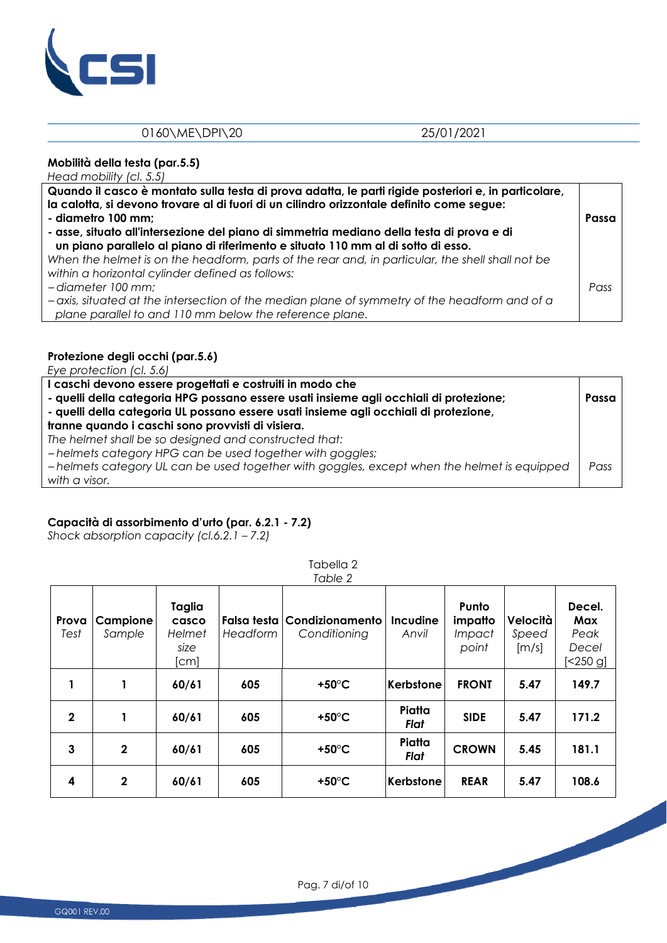

#### **Mobilità della testa (par.5.5)**

*Head mobility (cl. 5.5)* 

| Quando il casco è montato sulla testa di prova adatta, le parti rigide posteriori e, in particolare,<br>la calotta, si devono trovare al di fuori di un cilindro orizzontale definito come segue:<br>- diametro 100 mm;<br>- asse, situato all'intersezione del piano di simmetria mediano della testa di prova e di<br>un piano parallelo al piano di riferimento e situato 110 mm al di sotto di esso. |      |  |
|----------------------------------------------------------------------------------------------------------------------------------------------------------------------------------------------------------------------------------------------------------------------------------------------------------------------------------------------------------------------------------------------------------|------|--|
| When the helmet is on the headform, parts of the rear and, in particular, the shell shall not be<br>within a horizontal cylinder defined as follows:<br>-diameter 100 mm;<br>-axis, situated at the intersection of the median plane of symmetry of the headform and of a<br>plane parallel to and 110 mm below the reference plane.                                                                     | Pass |  |

### **Protezione degli occhi (par.5.6)**

*Eye protection (cl. 5.6)*

| I caschi devono essere progettati e costruiti in modo che<br>- quelli della categoria HPG possano essere usati insieme agli occhiali di protezione;<br>- quelli della categoria UL possano essere usati insieme agli occhiali di protezione, |      |  |  |
|----------------------------------------------------------------------------------------------------------------------------------------------------------------------------------------------------------------------------------------------|------|--|--|
| tranne quando i caschi sono provvisti di visiera.                                                                                                                                                                                            |      |  |  |
| The helmet shall be so designed and constructed that:                                                                                                                                                                                        |      |  |  |
| -helmets category HPG can be used together with goggles;                                                                                                                                                                                     |      |  |  |
| -helmets category UL can be used together with goggles, except when the helmet is equipped                                                                                                                                                   | Pass |  |  |
| with a visor.                                                                                                                                                                                                                                |      |  |  |
|                                                                                                                                                                                                                                              |      |  |  |

# **Capacità di assorbimento d'urto (par. 6.2.1 - 7.2)**

*Shock absorption capacity (cl.6.2.1 – 7.2)* 

|               |                    |                                           |                         | Table 2                         |                          |                                            |                            |                                              |
|---------------|--------------------|-------------------------------------------|-------------------------|---------------------------------|--------------------------|--------------------------------------------|----------------------------|----------------------------------------------|
| Prova<br>Test | Campione<br>Sample | Taglia<br>casco<br>Helmet<br>size<br>[cm] | Falsa testa<br>Headform | Condizionamento<br>Conditioning | <b>Incudine</b><br>Anvil | Punto<br>impatto<br><i>Impact</i><br>point | Velocità<br>Speed<br>[m/s] | Decel.<br>Max<br>Peak<br>Decel<br>$[<250$ g] |
|               |                    | 60/61                                     | 605                     | +50 $\degree$ C                 | Kerbstone                | <b>FRONT</b>                               | 5.47                       | 149.7                                        |
| $\mathbf{2}$  | 1                  | 60/61                                     | 605                     | +50 $\degree$ C                 | Piatta<br>Flat           | <b>SIDE</b>                                | 5.47                       | 171.2                                        |
| 3             | $\mathbf{2}$       | 60/61                                     | 605                     | +50 $\degree$ C                 | Piatta<br>Flat           | <b>CROWN</b>                               | 5.45                       | 181.1                                        |
| 4             | $\mathbf{2}$       | 60/61                                     | 605                     | +50 $\degree$ C                 | Kerbstone                | <b>REAR</b>                                | 5.47                       | 108.6                                        |

Tabella 2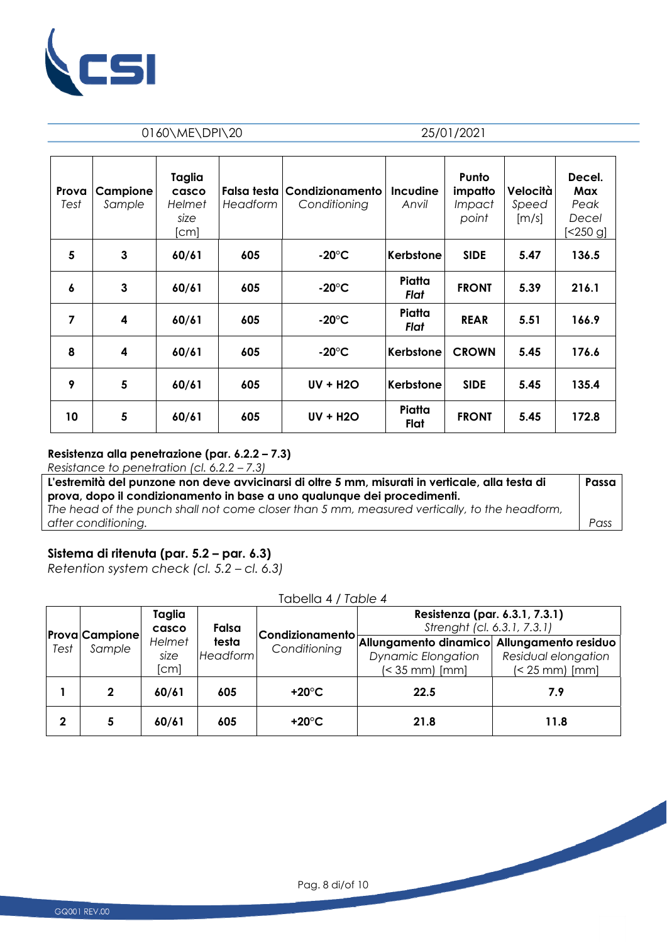

| Prova<br>Test | Campione<br>Sample | Taglia<br>casco<br>Helmet<br>size<br>[cm] | Falsa testa<br>Headform | Condizionamento<br>Conditioning | Incudine<br>Anvil | Punto<br>impatto<br>Impact<br>point | Velocità<br>Speed<br>$\left[\frac{m}{s}\right]$ | Decel.<br>Max<br>Peak<br>Decel<br>$[<250$ g] |
|---------------|--------------------|-------------------------------------------|-------------------------|---------------------------------|-------------------|-------------------------------------|-------------------------------------------------|----------------------------------------------|
| 5             | 3                  | 60/61                                     | 605                     | $-20^{\circ}$ C                 | Kerbstone         | <b>SIDE</b>                         | 5.47                                            | 136.5                                        |
| 6             | 3                  | 60/61                                     | 605                     | $-20^{\circ}$ C                 | Piatta<br>Flat    | <b>FRONT</b>                        | 5.39                                            | 216.1                                        |
| 7             | 4                  | 60/61                                     | 605                     | $-20^{\circ}$ C                 | Piatta<br>Flat    | <b>REAR</b>                         | 5.51                                            | 166.9                                        |
| 8             | 4                  | 60/61                                     | 605                     | $-20^{\circ}$ C                 | Kerbstone         | <b>CROWN</b>                        | 5.45                                            | 176.6                                        |
| 9             | 5                  | 60/61                                     | 605                     | <b>UV + H2O</b>                 | Kerbstone         | <b>SIDE</b>                         | 5.45                                            | 135.4                                        |
| 10            | 5                  | 60/61                                     | 605                     | <b>UV + H2O</b>                 | Piatta<br>Flat    | <b>FRONT</b>                        | 5.45                                            | 172.8                                        |

#### **Resistenza alla penetrazione (par. 6.2.2 – 7.3)**

*Resistance to penetration (cl. 6.2.2 – 7.3)* 

| L'estremità del punzone non deve avvicinarsi di oltre 5 mm, misurati in verticale, alla testa di | Passa |
|--------------------------------------------------------------------------------------------------|-------|
| prova, dopo il condizionamento in base a uno qualunque dei procedimenti.                         |       |
| The head of the punch shall not come closer than 5 mm, measured vertically, to the headform,     |       |
| after conditioning.                                                                              | Pass  |

# **Sistema di ritenuta (par. 5.2 – par. 6.3)**

*Retention system check (cl. 5.2 – cl. 6.3)* 

| Test | <b>Prova Campione</b><br>Sample | Taglia<br>casco<br>Helmet<br>size<br>[cm] | Falsa<br>testa<br><b>Headform</b> | <b>Condizionamento</b><br>Conditioning | Resistenza (par. 6.3.1, 7.3.1)<br>Strenght (cl. 6.3.1, 7.3.1)                             |                                              |
|------|---------------------------------|-------------------------------------------|-----------------------------------|----------------------------------------|-------------------------------------------------------------------------------------------|----------------------------------------------|
|      |                                 |                                           |                                   |                                        | Allungamento dinamico Allungamento residuo<br>Dynamic Elongation<br>$\approx$ 35 mm) [mm] | Residual elongation<br>$\approx$ 25 mm) [mm] |
|      | 2                               | 60/61                                     | 605                               | +20 $^{\circ}$ C                       | 22.5                                                                                      | 7.9                                          |
| 2    | 5                               | 60/61                                     | 605                               | +20 $^{\circ}$ C                       | 21.8                                                                                      | 11.8                                         |

Tabella 4 / *Table 4*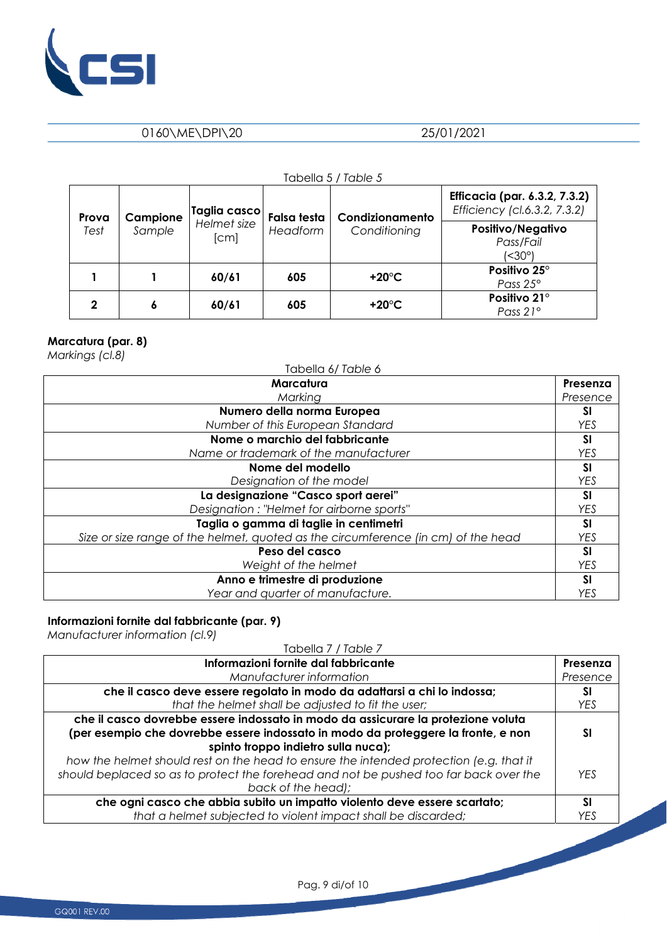

|       |          |                     |                    | Tabella 5 / Table 5 |                                                                      |
|-------|----------|---------------------|--------------------|---------------------|----------------------------------------------------------------------|
| Prova | Campione | Taglia casco        | <b>Falsa testa</b> | Condizionamento     | <b>Efficacia (par. 6.3.2, 7.3.2)</b><br>Efficiency (cl.6.3.2, 7.3.2) |
| Test  | Sample   | Helmet size<br>[cm] | Headform           | Conditioning        | Positivo/Negativo<br>Pass/Fail<br>(<30°)                             |
|       |          | 60/61               | 605                | +20 $^{\circ}$ C    | Positivo 25°<br>Pass 25°                                             |
| 2     | 6        | 60/61               | 605                | +20 $^{\circ}$ C    | Positivo 21°<br>Pass 21°                                             |

# **Marcatura (par. 8)**

*Markings (cl.8)* 

| $1.1$ $\frac{3.1}{2.1}$ $\frac{3.1}{2.1}$ $\frac{3.1}{2.1}$<br>Tabella 6/Table 6  |            |
|-----------------------------------------------------------------------------------|------------|
| Marcatura                                                                         | Presenza   |
| Marking                                                                           | Presence   |
| Numero della norma Europea                                                        | <b>SI</b>  |
| Number of this European Standard                                                  | <b>YES</b> |
| Nome o marchio del fabbricante                                                    | <b>SI</b>  |
| Name or trademark of the manufacturer                                             | <b>YES</b> |
| Nome del modello                                                                  | <b>SI</b>  |
| Designation of the model                                                          | <b>YES</b> |
| La designazione "Casco sport aerei"                                               | <b>SI</b>  |
| Designation: "Helmet for airborne sports"                                         | <b>YES</b> |
| Taglia o gamma di taglie in centimetri                                            | SI         |
| Size or size range of the helmet, quoted as the circumference (in cm) of the head | <b>YES</b> |
| Peso del casco                                                                    | <b>SI</b>  |
| Weight of the helmet                                                              | <b>YES</b> |
| Anno e trimestre di produzione                                                    | <b>SI</b>  |
| Year and quarter of manufacture.                                                  | YES        |

#### **Informazioni fornite dal fabbricante (par. 9)**

*Manufacturer information (cl.9)* 

| Tabella 7 / Table 7                                                                    |            |
|----------------------------------------------------------------------------------------|------------|
| Informazioni fornite dal fabbricante                                                   | Presenza   |
| Manufacturer information                                                               | Presence   |
| che il casco deve essere regolato in modo da adattarsi a chi lo indossa;               | SΙ         |
| that the helmet shall be adjusted to fit the user;                                     | YES        |
| che il casco dovrebbe essere indossato in modo da assicurare la protezione voluta      |            |
| (per esempio che dovrebbe essere indossato in modo da proteggere la fronte, e non      | SΙ         |
| spinto troppo indietro sulla nuca);                                                    |            |
| how the helmet should rest on the head to ensure the intended protection (e.g. that it |            |
| should beplaced so as to protect the forehead and not be pushed too far back over the  | <b>YFS</b> |
| back of the head);                                                                     |            |
| che ogni casco che abbia subito un impatto violento deve essere scartato;              | SΙ         |
| that a helmet subjected to violent impact shall be discarded;                          | YES        |

Pag. 9 di/of 10